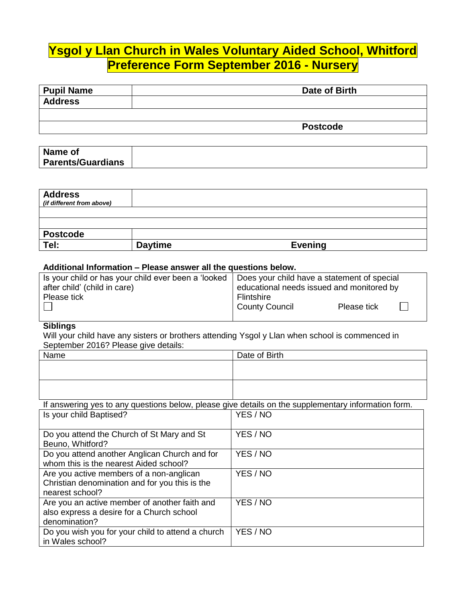# **Ysgol y Llan Church in Wales Voluntary Aided School, Whitford Preference Form September 2016 - Nursery**

| <b>Pupil Name</b> | Date of Birth   |
|-------------------|-----------------|
|                   |                 |
| <b>Address</b>    |                 |
|                   |                 |
|                   | <b>Postcode</b> |
|                   |                 |

| Name of                  |  |
|--------------------------|--|
| <b>Parents/Guardians</b> |  |

| <b>Address</b><br>(if different from above) |                |                |  |
|---------------------------------------------|----------------|----------------|--|
|                                             |                |                |  |
|                                             |                |                |  |
| <b>Postcode</b>                             |                |                |  |
| Tel:                                        | <b>Daytime</b> | <b>Evening</b> |  |

#### **Additional Information – Please answer all the questions below.**

| Flintshire     |             |                                                                                                                                                |
|----------------|-------------|------------------------------------------------------------------------------------------------------------------------------------------------|
| County Council | Please tick |                                                                                                                                                |
|                |             | Is your child or has your child ever been a 'looked   Does your child have a statement of special<br>educational needs issued and monitored by |

### **Siblings**

Will your child have any sisters or brothers attending Ysgol y Llan when school is commenced in September 2016? Please give details:

| Name                                                                                                | Date of Birth |
|-----------------------------------------------------------------------------------------------------|---------------|
|                                                                                                     |               |
|                                                                                                     |               |
|                                                                                                     |               |
| If answering yes to any questions below, please give details on the supplementary information form. |               |
| Is your child Baptised?                                                                             | YES / NO      |
|                                                                                                     |               |
| Do you attend the Church of St Mary and St                                                          | YES / NO      |
| Beuno, Whitford?                                                                                    |               |
| Do you attend another Anglican Church and for<br>whom this is the nearest Aided school?             | YES / NO      |
| Are you active members of a non-anglican                                                            | YES / NO      |
| Christian denomination and for you this is the                                                      |               |
| nearest school?                                                                                     |               |
| Are you an active member of another faith and                                                       | YES / NO      |
| also express a desire for a Church school                                                           |               |
| denomination?                                                                                       |               |
| Do you wish you for your child to attend a church                                                   | YES / NO      |
| in Wales school?                                                                                    |               |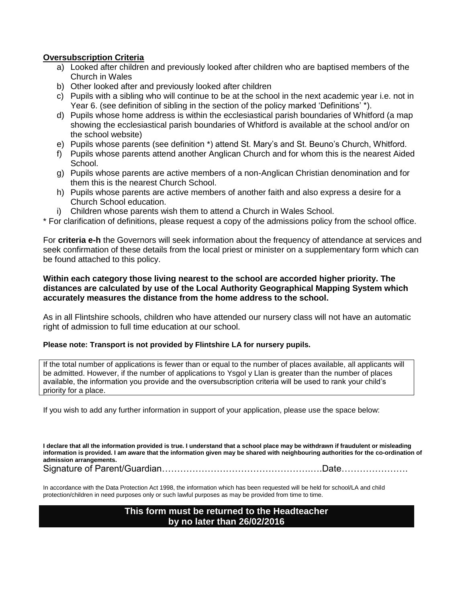#### **Oversubscription Criteria**

- a) Looked after children and previously looked after children who are baptised members of the Church in Wales
- b) Other looked after and previously looked after children
- c) Pupils with a sibling who will continue to be at the school in the next academic year i.e. not in Year 6. (see definition of sibling in the section of the policy marked 'Definitions' \*).
- d) Pupils whose home address is within the ecclesiastical parish boundaries of Whitford (a map showing the ecclesiastical parish boundaries of Whitford is available at the school and/or on the school website)
- e) Pupils whose parents (see definition \*) attend St. Mary's and St. Beuno's Church, Whitford.
- f) Pupils whose parents attend another Anglican Church and for whom this is the nearest Aided School.
- g) Pupils whose parents are active members of a non-Anglican Christian denomination and for them this is the nearest Church School.
- h) Pupils whose parents are active members of another faith and also express a desire for a Church School education.
- i) Children whose parents wish them to attend a Church in Wales School.

\* For clarification of definitions, please request a copy of the admissions policy from the school office.

For **criteria e-h** the Governors will seek information about the frequency of attendance at services and seek confirmation of these details from the local priest or minister on a supplementary form which can be found attached to this policy.

#### **Within each category those living nearest to the school are accorded higher priority. The distances are calculated by use of the Local Authority Geographical Mapping System which accurately measures the distance from the home address to the school.**

As in all Flintshire schools, children who have attended our nursery class will not have an automatic right of admission to full time education at our school.

#### **Please note: Transport is not provided by Flintshire LA for nursery pupils.**

If the total number of applications is fewer than or equal to the number of places available, all applicants will be admitted. However, if the number of applications to Ysgol y Llan is greater than the number of places available, the information you provide and the oversubscription criteria will be used to rank your child's priority for a place.

If you wish to add any further information in support of your application, please use the space below:

**I declare that all the information provided is true. I understand that a school place may be withdrawn if fraudulent or misleading information is provided. I am aware that the information given may be shared with neighbouring authorities for the co-ordination of admission arrangements.**

Signature of Parent/Guardian………………………………………….….Date………………….

In accordance with the Data Protection Act 1998, the information which has been requested will be held for school/LA and child protection/children in need purposes only or such lawful purposes as may be provided from time to time.

#### **This form must be returned to the Headteacher by no later than 26/02/2016**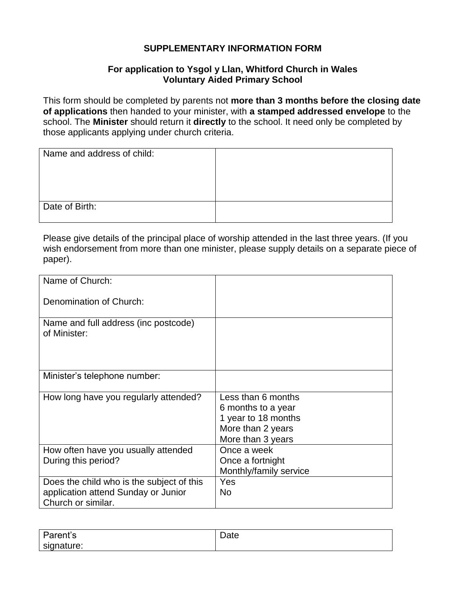## **SUPPLEMENTARY INFORMATION FORM**

## **For application to Ysgol y Llan, Whitford Church in Wales Voluntary Aided Primary School**

This form should be completed by parents not **more than 3 months before the closing date of applications** then handed to your minister, with **a stamped addressed envelope** to the school. The **Minister** should return it **directly** to the school. It need only be completed by those applicants applying under church criteria.

| Name and address of child: |  |
|----------------------------|--|
|                            |  |
|                            |  |
|                            |  |
| Date of Birth:             |  |
|                            |  |

Please give details of the principal place of worship attended in the last three years. (If you wish endorsement from more than one minister, please supply details on a separate piece of paper).

| Name of Church:                                                                                        |                                                                                                           |
|--------------------------------------------------------------------------------------------------------|-----------------------------------------------------------------------------------------------------------|
| Denomination of Church:                                                                                |                                                                                                           |
| Name and full address (inc postcode)<br>of Minister:                                                   |                                                                                                           |
| Minister's telephone number:                                                                           |                                                                                                           |
| How long have you regularly attended?                                                                  | Less than 6 months<br>6 months to a year<br>1 year to 18 months<br>More than 2 years<br>More than 3 years |
| How often have you usually attended<br>During this period?                                             | Once a week<br>Once a fortnight<br>Monthly/family service                                                 |
| Does the child who is the subject of this<br>application attend Sunday or Junior<br>Church or similar. | Yes<br><b>No</b>                                                                                          |

| $r \cdot n$ <sup>t</sup> $\sim$ | -    |
|---------------------------------|------|
| D-                              | ،+^  |
| arent s'                        | Dale |
| signature:                      |      |